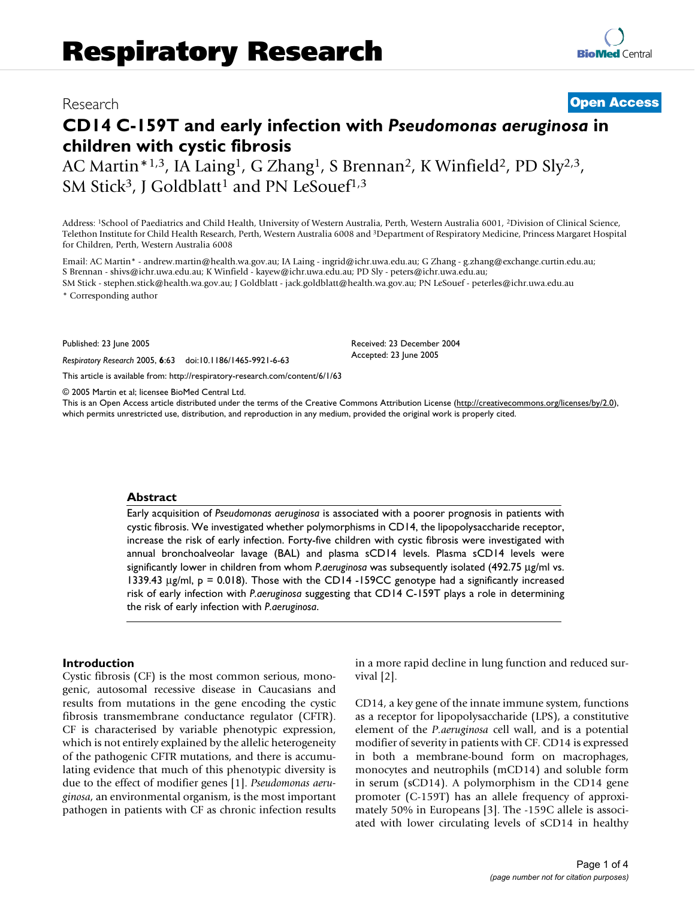# Research **[Open Access](http://www.biomedcentral.com/info/about/charter/)**

# **CD14 C-159T and early infection with** *Pseudomonas aeruginosa* **in children with cystic fibrosis**

AC Martin\*<sup>1,3</sup>, IA Laing<sup>1</sup>, G Zhang<sup>1</sup>, S Brennan<sup>2</sup>, K Winfield<sup>2</sup>, PD Sly<sup>2,3</sup>, SM Stick<sup>3</sup>, J Goldblatt<sup>1</sup> and PN LeSouef<sup>1,3</sup>

Address: 1School of Paediatrics and Child Health, University of Western Australia, Perth, Western Australia 6001, 2Division of Clinical Science, Telethon Institute for Child Health Research, Perth, Western Australia 6008 and 3Department of Respiratory Medicine, Princess Margaret Hospital for Children, Perth, Western Australia 6008

Email: AC Martin\* - andrew.martin@health.wa.gov.au; IA Laing - ingrid@ichr.uwa.edu.au; G Zhang - g.zhang@exchange.curtin.edu.au; S Brennan - shivs@ichr.uwa.edu.au; K Winfield - kayew@ichr.uwa.edu.au; PD Sly - peters@ichr.uwa.edu.au;

SM Stick - stephen.stick@health.wa.gov.au; J Goldblatt - jack.goldblatt@health.wa.gov.au; PN LeSouef - peterles@ichr.uwa.edu.au \* Corresponding author

Published: 23 June 2005

*Respiratory Research* 2005, **6**:63 doi:10.1186/1465-9921-6-63

[This article is available from: http://respiratory-research.com/content/6/1/63](http://respiratory-research.com/content/6/1/63)

© 2005 Martin et al; licensee BioMed Central Ltd.

This is an Open Access article distributed under the terms of the Creative Commons Attribution License [\(http://creativecommons.org/licenses/by/2.0\)](http://creativecommons.org/licenses/by/2.0), which permits unrestricted use, distribution, and reproduction in any medium, provided the original work is properly cited.

Received: 23 December 2004 Accepted: 23 June 2005

#### **Abstract**

Early acquisition of *Pseudomonas aeruginosa* is associated with a poorer prognosis in patients with cystic fibrosis. We investigated whether polymorphisms in CD14, the lipopolysaccharide receptor, increase the risk of early infection. Forty-five children with cystic fibrosis were investigated with annual bronchoalveolar lavage (BAL) and plasma sCD14 levels. Plasma sCD14 levels were significantly lower in children from whom *P.aeruginosa* was subsequently isolated (492.75 µg/ml vs. 1339.43  $\mu$ g/ml, p = 0.018). Those with the CD14 -159CC genotype had a significantly increased risk of early infection with *P.aeruginosa* suggesting that CD14 C-159T plays a role in determining the risk of early infection with *P.aeruginosa*.

#### **Introduction**

Cystic fibrosis (CF) is the most common serious, monogenic, autosomal recessive disease in Caucasians and results from mutations in the gene encoding the cystic fibrosis transmembrane conductance regulator (CFTR). CF is characterised by variable phenotypic expression, which is not entirely explained by the allelic heterogeneity of the pathogenic CFTR mutations, and there is accumulating evidence that much of this phenotypic diversity is due to the effect of modifier genes [1]. *Pseudomonas aeruginosa*, an environmental organism, is the most important pathogen in patients with CF as chronic infection results in a more rapid decline in lung function and reduced survival [2].

CD14, a key gene of the innate immune system, functions as a receptor for lipopolysaccharide (LPS), a constitutive element of the *P.aeruginosa* cell wall, and is a potential modifier of severity in patients with CF. CD14 is expressed in both a membrane-bound form on macrophages, monocytes and neutrophils (mCD14) and soluble form in serum (sCD14). A polymorphism in the CD14 gene promoter (C-159T) has an allele frequency of approximately 50% in Europeans [3]. The -159C allele is associated with lower circulating levels of sCD14 in healthy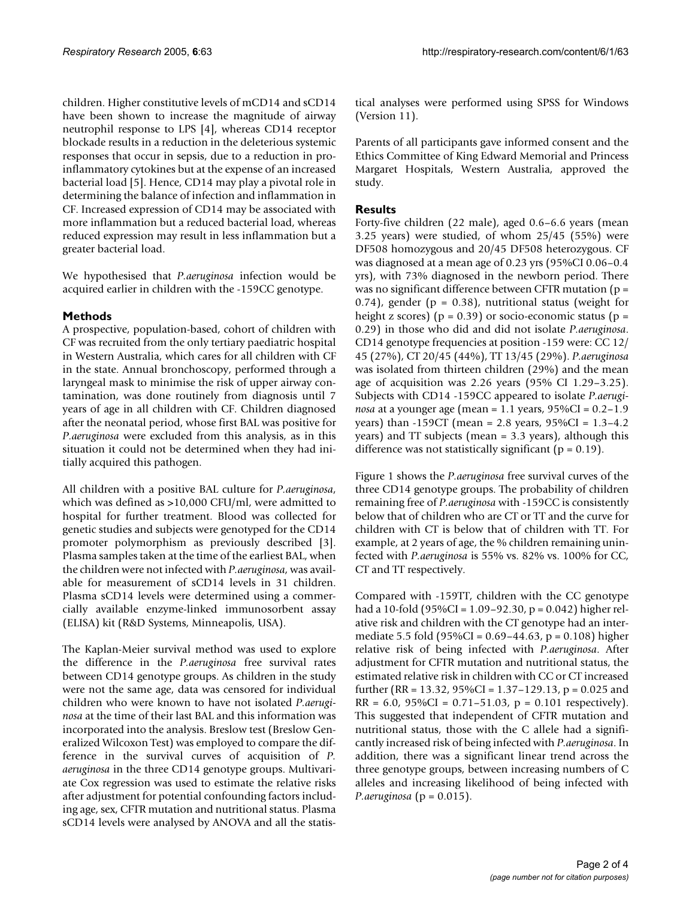children. Higher constitutive levels of mCD14 and sCD14 have been shown to increase the magnitude of airway neutrophil response to LPS [4], whereas CD14 receptor blockade results in a reduction in the deleterious systemic responses that occur in sepsis, due to a reduction in proinflammatory cytokines but at the expense of an increased bacterial load [5]. Hence, CD14 may play a pivotal role in determining the balance of infection and inflammation in CF. Increased expression of CD14 may be associated with more inflammation but a reduced bacterial load, whereas reduced expression may result in less inflammation but a greater bacterial load.

We hypothesised that *P.aeruginosa* infection would be acquired earlier in children with the -159CC genotype.

# **Methods**

A prospective, population-based, cohort of children with CF was recruited from the only tertiary paediatric hospital in Western Australia, which cares for all children with CF in the state. Annual bronchoscopy, performed through a laryngeal mask to minimise the risk of upper airway contamination, was done routinely from diagnosis until 7 years of age in all children with CF. Children diagnosed after the neonatal period, whose first BAL was positive for *P.aeruginosa* were excluded from this analysis, as in this situation it could not be determined when they had initially acquired this pathogen.

All children with a positive BAL culture for *P.aeruginosa*, which was defined as >10,000 CFU/ml, were admitted to hospital for further treatment. Blood was collected for genetic studies and subjects were genotyped for the CD14 promoter polymorphism as previously described [3]. Plasma samples taken at the time of the earliest BAL, when the children were not infected with *P.aeruginosa*, was available for measurement of sCD14 levels in 31 children. Plasma sCD14 levels were determined using a commercially available enzyme-linked immunosorbent assay (ELISA) kit (R&D Systems, Minneapolis, USA).

The Kaplan-Meier survival method was used to explore the difference in the *P.aeruginosa* free survival rates between CD14 genotype groups. As children in the study were not the same age, data was censored for individual children who were known to have not isolated *P.aeruginosa* at the time of their last BAL and this information was incorporated into the analysis. Breslow test (Breslow Generalized Wilcoxon Test) was employed to compare the difference in the survival curves of acquisition of *P. aeruginosa* in the three CD14 genotype groups. Multivariate Cox regression was used to estimate the relative risks after adjustment for potential confounding factors including age, sex, CFTR mutation and nutritional status. Plasma sCD14 levels were analysed by ANOVA and all the statistical analyses were performed using SPSS for Windows (Version 11).

Parents of all participants gave informed consent and the Ethics Committee of King Edward Memorial and Princess Margaret Hospitals, Western Australia, approved the study.

# **Results**

Forty-five children (22 male), aged 0.6–6.6 years (mean 3.25 years) were studied, of whom 25/45 (55%) were DF508 homozygous and 20/45 DF508 heterozygous. CF was diagnosed at a mean age of 0.23 yrs (95%CI 0.06–0.4 yrs), with 73% diagnosed in the newborn period. There was no significant difference between CFTR mutation (p = 0.74), gender ( $p = 0.38$ ), nutritional status (weight for height z scores) ( $p = 0.39$ ) or socio-economic status ( $p =$ 0.29) in those who did and did not isolate *P.aeruginosa*. CD14 genotype frequencies at position -159 were: CC 12/ 45 (27%), CT 20/45 (44%), TT 13/45 (29%). *P.aeruginosa* was isolated from thirteen children (29%) and the mean age of acquisition was 2.26 years (95% CI 1.29–3.25). Subjects with CD14 -159CC appeared to isolate *P.aeruginosa* at a younger age (mean = 1.1 years, 95%CI = 0.2–1.9 years) than -159CT (mean = 2.8 years, 95%CI = 1.3–4.2 years) and TT subjects (mean = 3.3 years), although this difference was not statistically significant ( $p = 0.19$ ).

Figure [1](#page-2-0) shows the *P.aeruginosa* free survival curves of the three CD14 genotype groups. The probability of children remaining free of *P.aeruginosa* with -159CC is consistently below that of children who are CT or TT and the curve for children with CT is below that of children with TT. For example, at 2 years of age, the % children remaining uninfected with *P.aeruginosa* is 55% vs. 82% vs. 100% for CC, CT and TT respectively.

Compared with -159TT, children with the CC genotype had a 10-fold (95%CI = 1.09–92.30, p = 0.042) higher relative risk and children with the CT genotype had an intermediate 5.5 fold (95%CI = 0.69–44.63, p = 0.108) higher relative risk of being infected with *P.aeruginosa*. After adjustment for CFTR mutation and nutritional status, the estimated relative risk in children with CC or CT increased further (RR = 13.32, 95%CI = 1.37–129.13, p = 0.025 and  $RR = 6.0$ , 95%CI = 0.71–51.03, p = 0.101 respectively). This suggested that independent of CFTR mutation and nutritional status, those with the C allele had a significantly increased risk of being infected with *P.aeruginosa*. In addition, there was a significant linear trend across the three genotype groups, between increasing numbers of C alleles and increasing likelihood of being infected with *P.aeruginosa* (p = 0.015).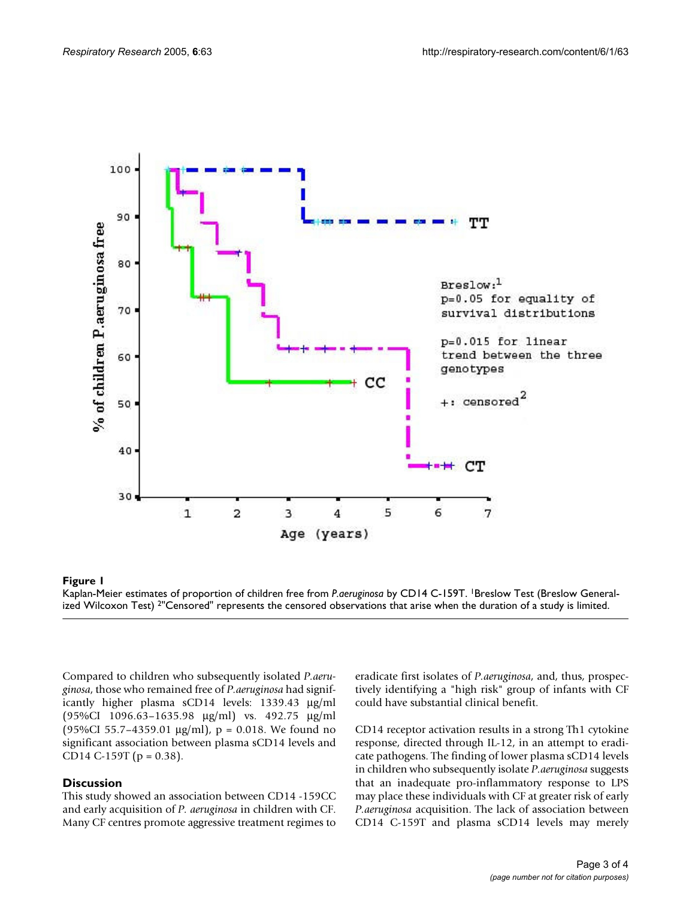<span id="page-2-0"></span>

## Kaplan-Meier estimates of propor **Figure 1** tion of children free from *P.aeruginosa* by CD14 C-159T

Kaplan-Meier estimates of proportion of children free from *P.aeruginosa* by CD14 C-159T. 1Breslow Test (Breslow Generalized Wilcoxon Test) 2"Censored" represents the censored observations that arise when the duration of a study is limited.

Compared to children who subsequently isolated *P.aeruginosa*, those who remained free of *P.aeruginosa* had significantly higher plasma sCD14 levels: 1339.43 µg/ml (95%CI 1096.63–1635.98 µg/ml) vs. 492.75 µg/ml (95%CI 55.7-4359.01  $\mu$ g/ml), p = 0.018. We found no significant association between plasma sCD14 levels and CD14 C-159T ( $p = 0.38$ ).

### **Discussion**

This study showed an association between CD14 -159CC and early acquisition of *P. aeruginosa* in children with CF. Many CF centres promote aggressive treatment regimes to eradicate first isolates of *P.aeruginosa*, and, thus, prospectively identifying a "high risk" group of infants with CF could have substantial clinical benefit.

CD14 receptor activation results in a strong Th1 cytokine response, directed through IL-12, in an attempt to eradicate pathogens. The finding of lower plasma sCD14 levels in children who subsequently isolate *P.aeruginosa* suggests that an inadequate pro-inflammatory response to LPS may place these individuals with CF at greater risk of early *P.aeruginosa* acquisition. The lack of association between CD14 C-159T and plasma sCD14 levels may merely